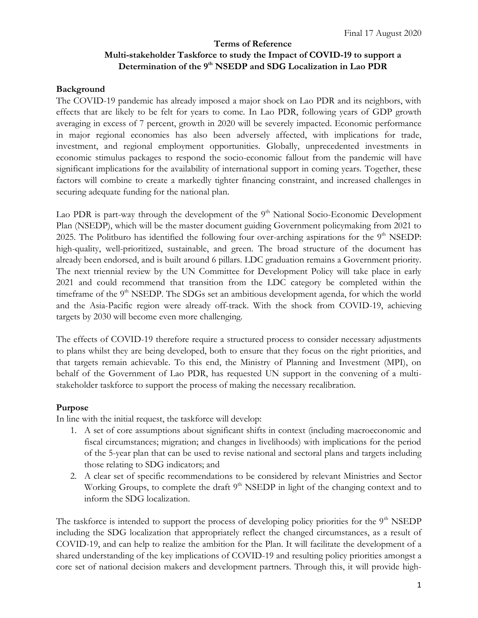# **Terms of Reference Multi-stakeholder Taskforce to study the Impact of COVID-19 to support a Determination of the 9th NSEDP and SDG Localization in Lao PDR**

#### **Background**

The COVID-19 pandemic has already imposed a major shock on Lao PDR and its neighbors, with effects that are likely to be felt for years to come. In Lao PDR, following years of GDP growth averaging in excess of 7 percent, growth in 2020 will be severely impacted. Economic performance in major regional economies has also been adversely affected, with implications for trade, investment, and regional employment opportunities. Globally, unprecedented investments in economic stimulus packages to respond the socio-economic fallout from the pandemic will have significant implications for the availability of international support in coming years. Together, these factors will combine to create a markedly tighter financing constraint, and increased challenges in securing adequate funding for the national plan.

Lao PDR is part-way through the development of the  $9<sup>th</sup>$  National Socio-Economic Development Plan (NSEDP), which will be the master document guiding Government policymaking from 2021 to 2025. The Politburo has identified the following four over-arching aspirations for the 9<sup>th</sup> NSEDP: high-quality, well-prioritized, sustainable, and green. The broad structure of the document has already been endorsed, and is built around 6 pillars. LDC graduation remains a Government priority. The next triennial review by the UN Committee for Development Policy will take place in early 2021 and could recommend that transition from the LDC category be completed within the timeframe of the 9<sup>th</sup> NSEDP. The SDGs set an ambitious development agenda, for which the world and the Asia-Pacific region were already off-track. With the shock from COVID-19, achieving targets by 2030 will become even more challenging.

The effects of COVID-19 therefore require a structured process to consider necessary adjustments to plans whilst they are being developed, both to ensure that they focus on the right priorities, and that targets remain achievable. To this end, the Ministry of Planning and Investment (MPI), on behalf of the Government of Lao PDR, has requested UN support in the convening of a multistakeholder taskforce to support the process of making the necessary recalibration.

### **Purpose**

In line with the initial request, the taskforce will develop:

- 1. A set of core assumptions about significant shifts in context (including macroeconomic and fiscal circumstances; migration; and changes in livelihoods) with implications for the period of the 5-year plan that can be used to revise national and sectoral plans and targets including those relating to SDG indicators; and
- 2. A clear set of specific recommendations to be considered by relevant Ministries and Sector Working Groups, to complete the draft  $9<sup>th</sup>$  NSEDP in light of the changing context and to inform the SDG localization.

The taskforce is intended to support the process of developing policy priorities for the  $9<sup>th</sup>$  NSEDP including the SDG localization that appropriately reflect the changed circumstances, as a result of COVID-19, and can help to realize the ambition for the Plan. It will facilitate the development of a shared understanding of the key implications of COVID-19 and resulting policy priorities amongst a core set of national decision makers and development partners. Through this, it will provide high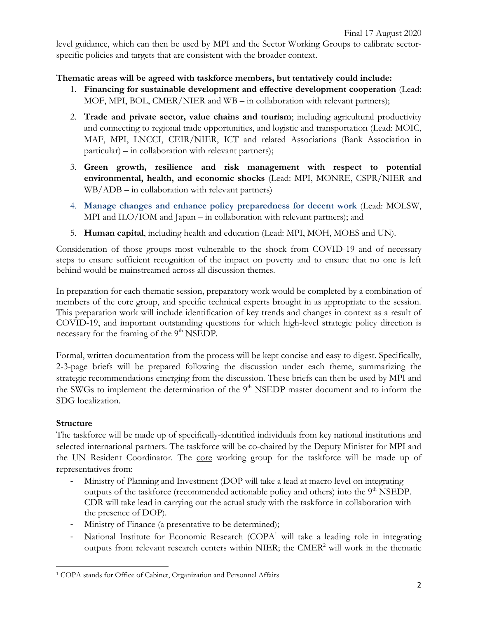level guidance, which can then be used by MPI and the Sector Working Groups to calibrate sectorspecific policies and targets that are consistent with the broader context.

### **Thematic areas will be agreed with taskforce members, but tentatively could include:**

- 1. **Financing for sustainable development and effective development cooperation** (Lead: MOF, MPI, BOL, CMER/NIER and WB – in collaboration with relevant partners);
- 2. **Trade and private sector, value chains and tourism**; including agricultural productivity and connecting to regional trade opportunities, and logistic and transportation (Lead: MOIC, MAF, MPI, LNCCI, CEIR/NIER, ICT and related Associations (Bank Association in particular) – in collaboration with relevant partners);
- 3. **Green growth, resilience and risk management with respect to potential environmental, health, and economic shocks** (Lead: MPI, MONRE, CSPR/NIER and WB/ADB – in collaboration with relevant partners)
- 4. **Manage changes and enhance policy preparedness for decent work** (Lead: MOLSW, MPI and ILO/IOM and Japan – in collaboration with relevant partners); and
- 5. **Human capital**, including health and education (Lead: MPI, MOH, MOES and UN).

Consideration of those groups most vulnerable to the shock from COVID-19 and of necessary steps to ensure sufficient recognition of the impact on poverty and to ensure that no one is left behind would be mainstreamed across all discussion themes.

In preparation for each thematic session, preparatory work would be completed by a combination of members of the core group, and specific technical experts brought in as appropriate to the session. This preparation work will include identification of key trends and changes in context as a result of COVID-19, and important outstanding questions for which high-level strategic policy direction is necessary for the framing of the 9<sup>th</sup> NSEDP.

Formal, written documentation from the process will be kept concise and easy to digest. Specifically, 2-3-page briefs will be prepared following the discussion under each theme, summarizing the strategic recommendations emerging from the discussion. These briefs can then be used by MPI and the SWGs to implement the determination of the  $9<sup>th</sup>$  NSEDP master document and to inform the SDG localization.

## **Structure**

 $\overline{a}$ 

The taskforce will be made up of specifically-identified individuals from key national institutions and selected international partners. The taskforce will be co-chaired by the Deputy Minister for MPI and the UN Resident Coordinator. The core working group for the taskforce will be made up of representatives from:

- Ministry of Planning and Investment (DOP will take a lead at macro level on integrating outputs of the taskforce (recommended actionable policy and others) into the  $9<sup>th</sup>$  NSEDP. CDR will take lead in carrying out the actual study with the taskforce in collaboration with the presence of DOP).
- Ministry of Finance (a presentative to be determined);
- National Institute for Economic Research (COPA<sup>1</sup> will take a leading role in integrating outputs from relevant research centers within NIER; the  $CMER<sup>2</sup>$  will work in the thematic

<sup>1</sup> COPA stands for Office of Cabinet, Organization and Personnel Affairs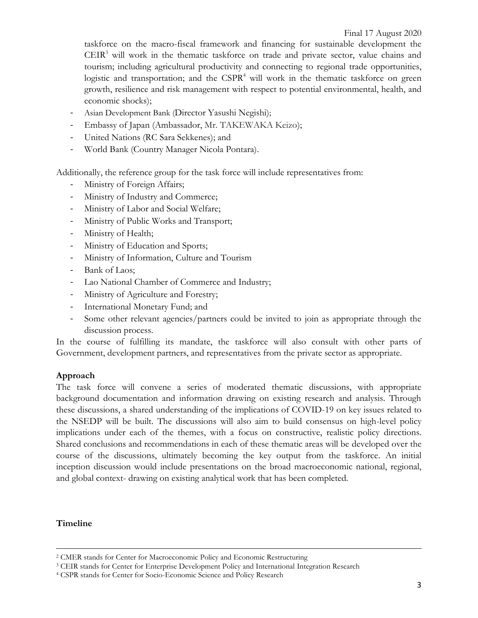taskforce on the macro-fiscal framework and financing for sustainable development the CEIR <sup>3</sup> will work in the thematic taskforce on trade and private sector, value chains and tourism; including agricultural productivity and connecting to regional trade opportunities, logistic and transportation; and the  $CSPR<sup>4</sup>$  will work in the thematic taskforce on green growth, resilience and risk management with respect to potential environmental, health, and economic shocks);

- Asian Development Bank (Director Yasushi Negishi);
- Embassy of Japan (Ambassador, Mr. TAKEWAKA Keizo);
- United Nations (RC Sara Sekkenes); and
- World Bank (Country Manager Nicola Pontara).

Additionally, the reference group for the task force will include representatives from:

- Ministry of Foreign Affairs;
- Ministry of Industry and Commerce;
- Ministry of Labor and Social Welfare;
- Ministry of Public Works and Transport;
- Ministry of Health;
- Ministry of Education and Sports;
- Ministry of Information, Culture and Tourism
- Bank of Laos;
- Lao National Chamber of Commerce and Industry;
- Ministry of Agriculture and Forestry;
- International Monetary Fund; and
- Some other relevant agencies/partners could be invited to join as appropriate through the discussion process.

In the course of fulfilling its mandate, the taskforce will also consult with other parts of Government, development partners, and representatives from the private sector as appropriate.

### **Approach**

The task force will convene a series of moderated thematic discussions, with appropriate background documentation and information drawing on existing research and analysis. Through these discussions, a shared understanding of the implications of COVID-19 on key issues related to the NSEDP will be built. The discussions will also aim to build consensus on high-level policy implications under each of the themes, with a focus on constructive, realistic policy directions. Shared conclusions and recommendations in each of these thematic areas will be developed over the course of the discussions, ultimately becoming the key output from the taskforce. An initial inception discussion would include presentations on the broad macroeconomic national, regional, and global context- drawing on existing analytical work that has been completed.

### **Timeline**

 $\overline{a}$ 

<sup>2</sup> CMER stands for Center for Macroeconomic Policy and Economic Restructuring

<sup>3</sup> CEIR stands for Center for Enterprise Development Policy and International Integration Research

<sup>4</sup> CSPR stands for Center for Socio-Economic Science and Policy Research